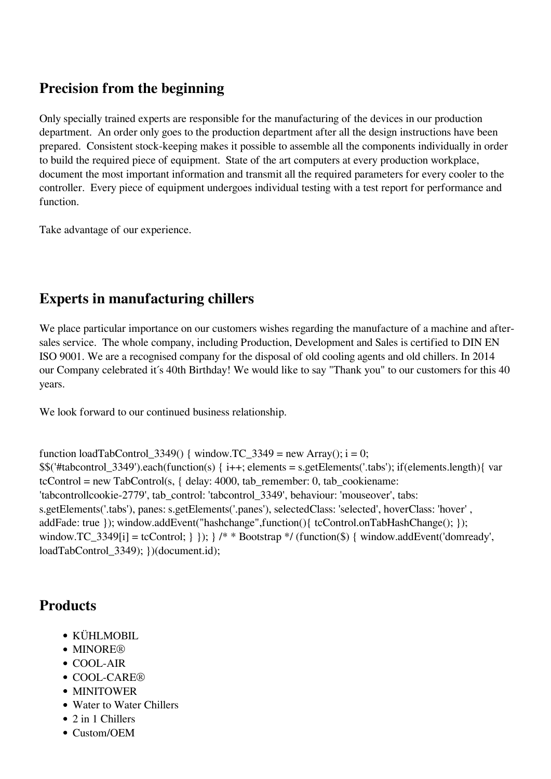### **Precision from the beginning**

Only specially trained experts are responsible for the manufacturing of the devices in our production department. An order only goes to the production department after all the design instructions have been prepared. Consistent stock-keeping makes it possible to assemble all the components individually in order to build the required piece of equipment. State of the art computers at every production workplace, document the most important information and transmit all the required parameters for every cooler to the controller. Every piece of equipment undergoes individual testing with a test report for performance and function.

Take advantage of our experience.

# **Experts in manufacturing chillers**

We place particular importance on our customers wishes regarding the manufacture of a machine and aftersales service. The whole company, including Production, Development and Sales is certified to DIN EN ISO 9001. We are a recognised company for the disposal of old cooling agents and old chillers. In 2014 our Company celebrated it´s 40th Birthday! We would like to say "Thank you" to our customers for this 40 years.

We look forward to our continued business relationship.

```
function loadTabControl 3349() { window.TC 3349 = new Array(); i = 0;
$$('#tabcontrol_3349').each(function(s) { i++; elements = s.getElements('.tabs'); if(elements.length){ var
tcControl = new TabControl(s, { delay: } 4000, tab remember: 0, tab cookiename:
'tabcontrollcookie-2779', tab_control: 'tabcontrol_3349', behaviour: 'mouseover', tabs:
s.getElements('.tabs'), panes: s.getElements('.panes'), selectedClass: 'selected', hoverClass: 'hover' ,
addFade: true }); window.addEvent("hashchange",function(){ tcControl.onTabHashChange(); });
window.TC_3349[i] = tcControl; \} }); \} /* * Bootstrap */ (function($) { window.addEvent('domready',
loadTabControl_3349); })(document.id);
```
# **Products**

- KÜHLMOBIL
- MINORE®
- COOL-AIR
- COOL-CARE®
- MINITOWER
- Water to Water Chillers
- 2 in 1 Chillers
- Custom/OEM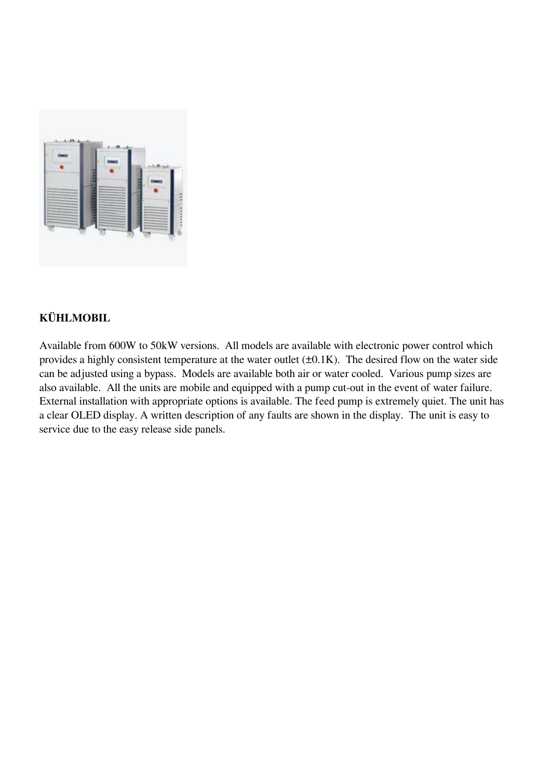

#### **KÜHLMOBIL**

Available from 600W to 50kW versions. All models are available with electronic power control which provides a highly consistent temperature at the water outlet  $(\pm 0.1K)$ . The desired flow on the water side can be adjusted using a bypass. Models are available both air or water cooled. Various pump sizes are also available. All the units are mobile and equipped with a pump cut-out in the event of water failure. External installation with appropriate options is available. The feed pump is extremely quiet. The unit has a clear OLED display. A written description of any faults are shown in the display. The unit is easy to service due to the easy release side panels.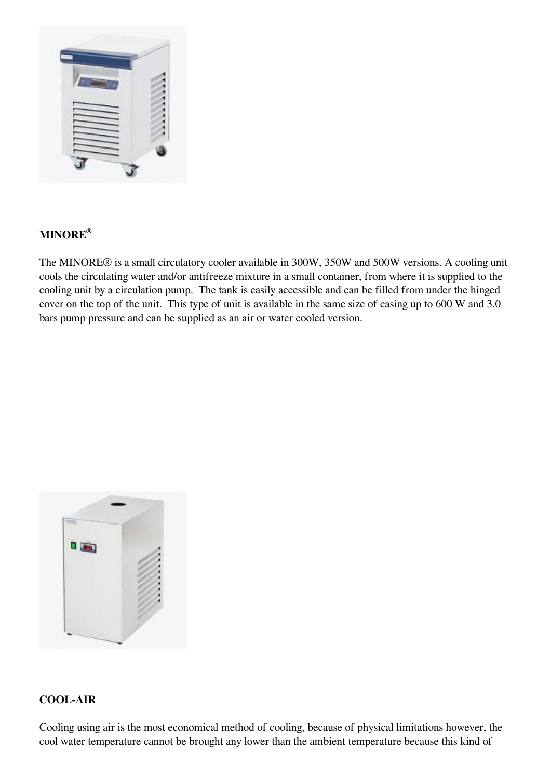

### **MINORE®**

The MINORE® is a small circulatory cooler available in 300W, 350W and 500W versions. A cooling unit cools the circulating water and/or antifreeze mixture in a small container, from where it is supplied to the cooling unit by a circulation pump. The tank is easily accessible and can be filled from under the hinged cover on the top of the unit. This type of unit is available in the same size of casing up to 600 W and 3.0 bars pump pressure and can be supplied as an air or water cooled version.



#### **COOL-AIR**

Cooling using air is the most economical method of cooling, because of physical limitations however, the cool water temperature cannot be brought any lower than the ambient temperature because this kind of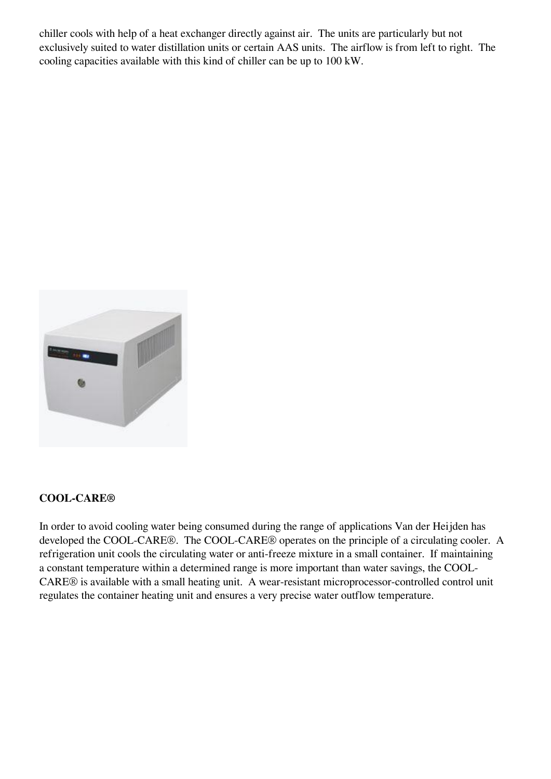chiller cools with help of a heat exchanger directly against air. The units are particularly but not exclusively suited to water distillation units or certain AAS units. The airflow is from left to right. The cooling capacities available with this kind of chiller can be up to 100 kW.



#### **COOL-CARE®**

In order to avoid cooling water being consumed during the range of applications Van der Heijden has developed the COOL-CARE®. The COOL-CARE® operates on the principle of a circulating cooler. A refrigeration unit cools the circulating water or anti-freeze mixture in a small container. If maintaining a constant temperature within a determined range is more important than water savings, the COOL-CARE® is available with a small heating unit. A wear-resistant microprocessor-controlled control unit regulates the container heating unit and ensures a very precise water outflow temperature.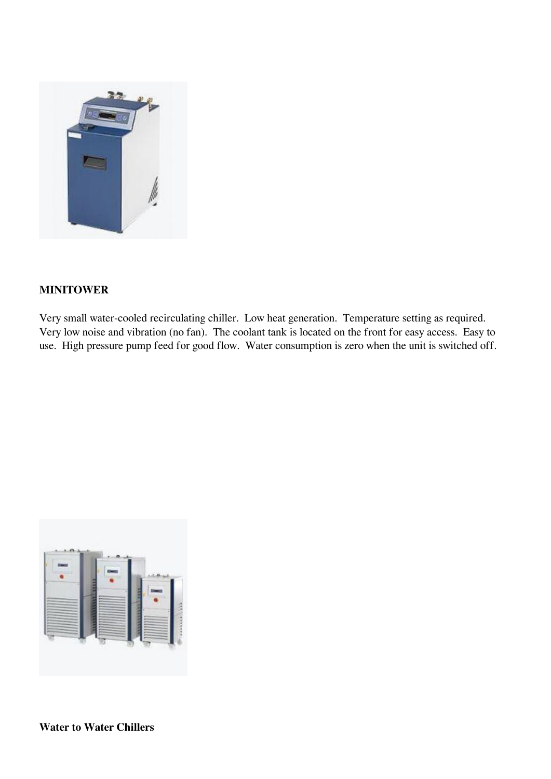

#### **MINITOWER**

Very small water-cooled recirculating chiller. Low heat generation. Temperature setting as required. Very low noise and vibration (no fan). The coolant tank is located on the front for easy access. Easy to use. High pressure pump feed for good flow. Water consumption is zero when the unit is switched off.

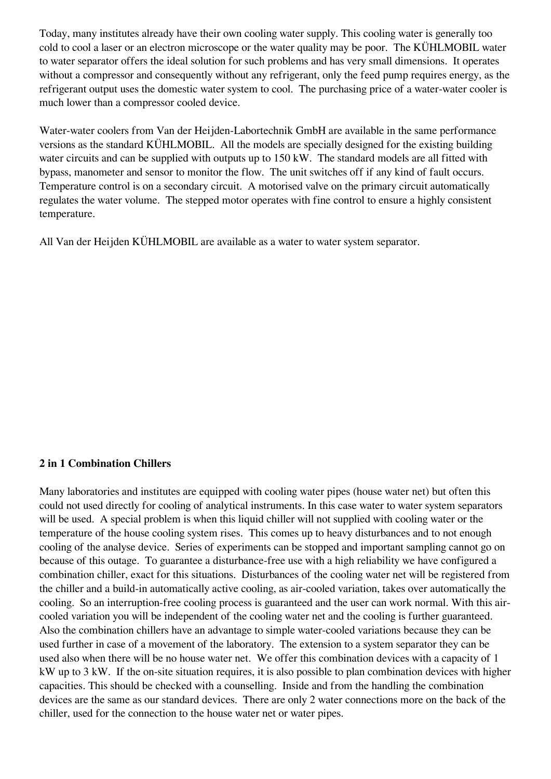Today, many institutes already have their own cooling water supply. This cooling water is generally too cold to cool a laser or an electron microscope or the water quality may be poor. The KÜHLMOBIL water to water separator offers the ideal solution for such problems and has very small dimensions. It operates without a compressor and consequently without any refrigerant, only the feed pump requires energy, as the refrigerant output uses the domestic water system to cool. The purchasing price of a water-water cooler is much lower than a compressor cooled device.

Water-water coolers from Van der Heijden-Labortechnik GmbH are available in the same performance versions as the standard KÜHLMOBIL. All the models are specially designed for the existing building water circuits and can be supplied with outputs up to 150 kW. The standard models are all fitted with bypass, manometer and sensor to monitor the flow. The unit switches off if any kind of fault occurs. Temperature control is on a secondary circuit. A motorised valve on the primary circuit automatically regulates the water volume. The stepped motor operates with fine control to ensure a highly consistent temperature.

All Van der Heijden KÜHLMOBIL are available as a water to water system separator.

#### **2 in 1 Combination Chillers**

Many laboratories and institutes are equipped with cooling water pipes (house water net) but often this could not used directly for cooling of analytical instruments. In this case water to water system separators will be used. A special problem is when this liquid chiller will not supplied with cooling water or the temperature of the house cooling system rises. This comes up to heavy disturbances and to not enough cooling of the analyse device. Series of experiments can be stopped and important sampling cannot go on because of this outage. To guarantee a disturbance-free use with a high reliability we have configured a combination chiller, exact for this situations. Disturbances of the cooling water net will be registered from the chiller and a build-in automatically active cooling, as air-cooled variation, takes over automatically the cooling. So an interruption-free cooling process is guaranteed and the user can work normal. With this aircooled variation you will be independent of the cooling water net and the cooling is further guaranteed. Also the combination chillers have an advantage to simple water-cooled variations because they can be used further in case of a movement of the laboratory. The extension to a system separator they can be used also when there will be no house water net. We offer this combination devices with a capacity of 1 kW up to 3 kW. If the on-site situation requires, it is also possible to plan combination devices with higher capacities. This should be checked with a counselling. Inside and from the handling the combination devices are the same as our standard devices. There are only 2 water connections more on the back of the chiller, used for the connection to the house water net or water pipes.